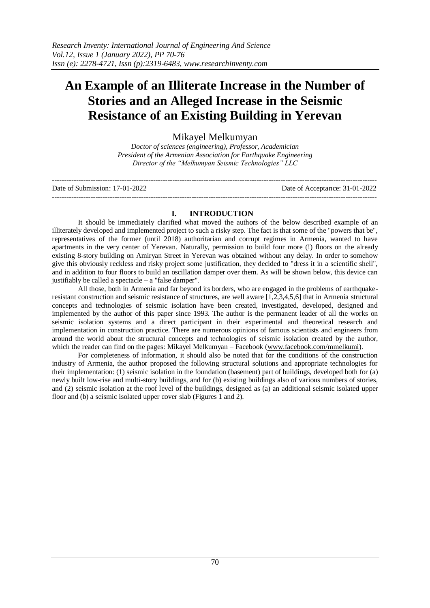# **An Example of an Illiterate Increase in the Number of Stories and an Alleged Increase in the Seismic Resistance of an Existing Building in Yerevan**

## Mikayel Melkumyan

*Doctor of sciences (engineering), Professor, Academician President of the Armenian Association for Earthquake Engineering Director of the "Melkumyan Seismic Technologies" LLC*

| Date of Submission: 17-01-2022 | Date of Acceptance: 31-01-2022 |
|--------------------------------|--------------------------------|
|                                |                                |

## **I. INTRODUCTION**

It should be immediately clarified what moved the authors of the below described example of an illiterately developed and implemented project to such a risky step. The fact is that some of the "powers that be", representatives of the former (until 2018) authoritarian and corrupt regimes in Armenia, wanted to have apartments in the very center of Yerevan. Naturally, permission to build four more (!) floors on the already existing 8-story building on Amiryan Street in Yerevan was obtained without any delay. In order to somehow give this obviously reckless and risky project some justification, they decided to "dress it in a scientific shell", and in addition to four floors to build an oscillation damper over them. As will be shown below, this device can justifiably be called a spectacle  $-$  a "false damper".

All those, both in Armenia and far beyond its borders, who are engaged in the problems of earthquakeresistant construction and seismic resistance of structures, are well aware [1,2,3,4,5,6] that in Armenia structural concepts and technologies of seismic isolation have been created, investigated, developed, designed and implemented by the author of this paper since 1993. The author is the permanent leader of all the works on seismic isolation systems and a direct participant in their experimental and theoretical research and implementation in construction practice. There are numerous opinions of famous scientists and engineers from around the world about the structural concepts and technologies of seismic isolation created by the author, which the reader can find on the pages: Mikayel Melkumyan – Facebook [\(www.facebook.com/mmelkumi\)](http://www.facebook.com/mmelkumi).

For completeness of information, it should also be noted that for the conditions of the construction industry of Armenia, the author proposed the following structural solutions and appropriate technologies for their implementation: (1) seismic isolation in the foundation (basement) part of buildings, developed both for (a) newly built low-rise and multi-story buildings, and for (b) existing buildings also of various numbers of stories, and (2) seismic isolation at the roof level of the buildings, designed as (a) an additional seismic isolated upper floor and (b) a seismic isolated upper cover slab (Figures 1 and 2).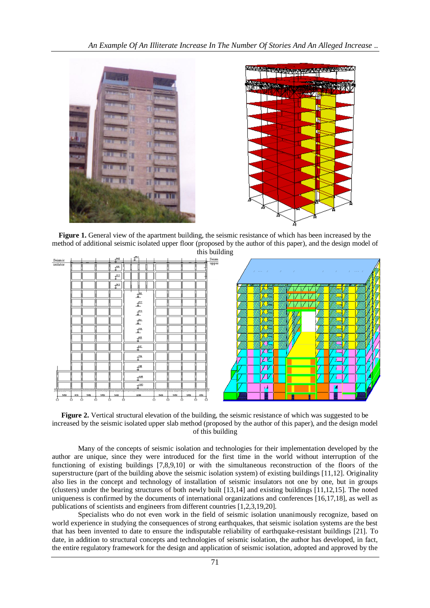

**Figure 1.** General view of the apartment building, the seismic resistance of which has been increased by the method of additional seismic isolated upper floor (proposed by the author of this paper), and the design model of



**Figure 2.** Vertical structural elevation of the building, the seismic resistance of which was suggested to be increased by the seismic isolated upper slab method (proposed by the author of this paper), and the design model of this building

Many of the concepts of seismic isolation and technologies for their implementation developed by the author are unique, since they were introduced for the first time in the world without interruption of the functioning of existing buildings [7,8,9,10] or with the simultaneous reconstruction of the floors of the superstructure (part of the building above the seismic isolation system) of existing buildings [11,12]. Originality also lies in the concept and technology of installation of seismic insulators not one by one, but in groups (clusters) under the bearing structures of both newly built [13,14] and existing buildings [11,12,15]. The noted uniqueness is confirmed by the documents of international organizations and conferences [16,17,18], as well as publications of scientists and engineers from different countries [1,2,3,19,20].

Specialists who do not even work in the field of seismic isolation unanimously recognize, based on world experience in studying the consequences of strong earthquakes, that seismic isolation systems are the best that has been invented to date to ensure the indisputable reliability of earthquake-resistant buildings [21]. To date, in addition to structural concepts and technologies of seismic isolation, the author has developed, in fact, the entire regulatory framework for the design and application of seismic isolation, adopted and approved by the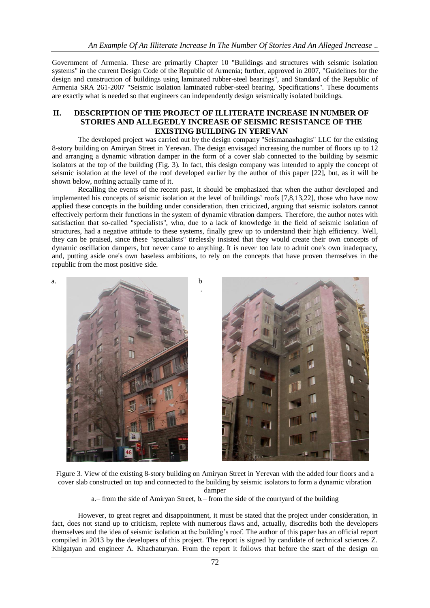Government of Armenia. These are primarily Chapter 10 "Buildings and structures with seismic isolation systems" in the current Design Code of the Republic of Armenia; further, approved in 2007, "Guidelines for the design and construction of buildings using laminated rubber-steel bearings", and Standard of the Republic of Armenia SRA 261-2007 "Seismic isolation laminated rubber-steel bearing. Specifications". These documents are exactly what is needed so that engineers can independently design seismically isolated buildings.

#### **II. DESCRIPTION OF THE PROJECT OF ILLITERATE INCREASE IN NUMBER OF STORIES AND ALLEGEDLY INCREASE OF SEISMIC RESISTANCE OF THE EXISTING BUILDING IN YEREVAN**

The developed project was carried out by the design company "Seismanaкhagits" LLC for the existing 8-story building on Amiryan Street in Yerevan. The design envisaged increasing the number of floors up to 12 and arranging a dynamic vibration damper in the form of a cover slab connected to the building by seismic isolators at the top of the building (Fig. 3). In fact, this design company was intended to apply the concept of seismic isolation at the level of the roof developed earlier by the author of this paper [22], but, as it will be shown below, nothing actually came of it.

Recalling the events of the recent past, it should be emphasized that when the author developed and implemented his concepts of seismic isolation at the level of buildings' roofs [7,8,13,22], those who have now applied these concepts in the building under consideration, then criticized, arguing that seismic isolators cannot effectively perform their functions in the system of dynamic vibration dampers. Therefore, the author notes with satisfaction that so-called "specialists", who, due to a lack of knowledge in the field of seismic isolation of structures, had a negative attitude to these systems, finally grew up to understand their high efficiency. Well, they can be praised, since these "specialists" tirelessly insisted that they would create their own concepts of dynamic oscillation dampers, but never came to anything. It is never too late to admit one's own inadequacy, and, putting aside one's own baseless ambitions, to rely on the concepts that have proven themselves in the republic from the most positive side.



Figure 3. View of the existing 8-story building on Amiryan Street in Yerevan with the added four floors and a cover slab constructed on top and connected to the building by seismic isolators to form a dynamic vibration damper

a.– from the side of Amiryan Street, b.– from the side of the courtyard of the building

However, to great regret and disappointment, it must be stated that the project under consideration, in fact, does not stand up to criticism, replete with numerous flaws and, actually, discredits both the developers themselves and the idea of seismic isolation at the building's roof. The author of this paper has an official report compiled in 2013 by the developers of this project. The report is signed by candidate of technical sciences Z. Khlgatyan and engineer A. Khachaturyan. From the report it follows that before the start of the design on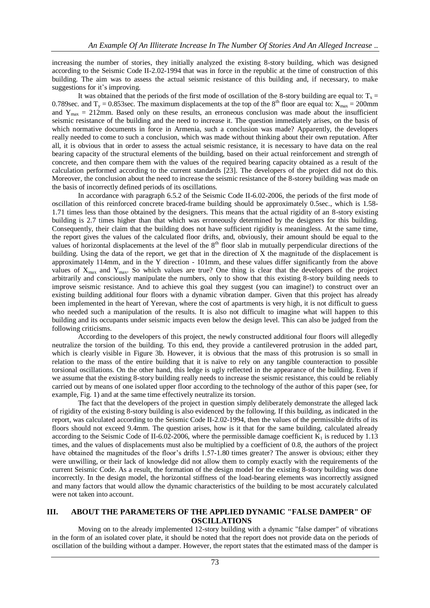increasing the number of stories, they initially analyzed the existing 8-story building, which was designed according to the Seismic Code II-2.02-1994 that was in force in the republic at the time of construction of this building. The aim was to assess the actual seismic resistance of this building and, if necessary, to make suggestions for it's improving.

It was obtained that the periods of the first mode of oscillation of the 8-story building are equal to:  $T_x =$ 0.789sec. and  $T_v = 0.853$  sec. The maximum displacements at the top of the 8<sup>th</sup> floor are equal to:  $X_{\text{max}} = 200$ mm and  $Y_{\text{max}} = 212 \text{mm}$ . Based only on these results, an erroneous conclusion was made about the insufficient seismic resistance of the building and the need to increase it. The question immediately arises, on the basis of which normative documents in force in Armenia, such a conclusion was made? Apparently, the developers really needed to come to such a conclusion, which was made without thinking about their own reputation. After all, it is obvious that in order to assess the actual seismic resistance, it is necessary to have data on the real bearing capacity of the structural elements of the building, based on their actual reinforcement and strength of concrete, and then compare them with the values of the required bearing capacity obtained as a result of the calculation performed according to the current standards [23]. The developers of the project did not do this. Moreover, the conclusion about the need to increase the seismic resistance of the 8-storey building was made on the basis of incorrectly defined periods of its oscillations.

In accordance with paragraph 6.5.2 of the Seismic Code II-6.02-2006, the periods of the first mode of oscillation of this reinforced concrete braced-frame building should be approximately 0.5sec., which is 1.58- 1.71 times less than those obtained by the designers. This means that the actual rigidity of an 8-story existing building is 2.7 times higher than that which was erroneously determined by the designers for this building. Consequently, their claim that the building does not have sufficient rigidity is meaningless. At the same time, the report gives the values of the calculated floor drifts, and, obviously, their amount should be equal to the values of horizontal displacements at the level of the  $8<sup>th</sup>$  floor slab in mutually perpendicular directions of the building. Using the data of the report, we get that in the direction of X the magnitude of the displacement is approximately 114mm, and in the Y direction - 101mm, and these values differ significantly from the above values of  $X_{\text{max}}$  and  $Y_{\text{max}}$ . So which values are true? One thing is clear that the developers of the project arbitrarily and consciously manipulate the numbers, only to show that this existing 8-story building needs to improve seismic resistance. And to achieve this goal they suggest (you can imagine!) to construct over an existing building additional four floors with a dynamic vibration damper. Given that this project has already been implemented in the heart of Yerevan, where the cost of apartments is very high, it is not difficult to guess who needed such a manipulation of the results. It is also not difficult to imagine what will happen to this building and its occupants under seismic impacts even below the design level. This can also be judged from the following criticisms.

According to the developers of this project, the newly constructed additional four floors will allegedly neutralize the torsion of the building. To this end, they provide a cantilevered protrusion in the added part, which is clearly visible in Figure 3b. However, it is obvious that the mass of this protrusion is so small in relation to the mass of the entire building that it is naïve to rely on any tangible counteraction to possible torsional oscillations. On the other hand, this ledge is ugly reflected in the appearance of the building. Even if we assume that the existing 8-story building really needs to increase the seismic resistance, this could be reliably carried out by means of one isolated upper floor according to the technology of the author of this paper (see, for example, Fig. 1) and at the same time effectively neutralize its torsion.

The fact that the developers of the project in question simply deliberately demonstrate the alleged lack of rigidity of the existing 8-story building is also evidenced by the following. If this building, as indicated in the report, was calculated according to the Seismic Code II-2.02-1994, then the values of the permissible drifts of its floors should not exceed 9.4mm. The question arises, how is it that for the same building, calculated already according to the Seismic Code of II-6.02-2006, where the permissible damage coefficient  $K_1$  is reduced by 1.13 times, and the values of displacements must also be multiplied by a coefficient of 0.8, the authors of the project have obtained the magnitudes of the floor's drifts 1.57-1.80 times greater? The answer is obvious; either they were unwilling, or their lack of knowledge did not allow them to comply exactly with the requirements of the current Seismic Code. As a result, the formation of the design model for the existing 8-story building was done incorrectly. In the design model, the horizontal stiffness of the load-bearing elements was incorrectly assigned and many factors that would allow the dynamic characteristics of the building to be most accurately calculated were not taken into account.

### **III. ABOUT THE PARAMETERS OF THE APPLIED DYNAMIC "FALSE DAMPER" OF OSCILLATIONS**

Moving on to the already implemented 12-story building with a dynamic "false damper" of vibrations in the form of an isolated cover plate, it should be noted that the report does not provide data on the periods of oscillation of the building without a damper. However, the report states that the estimated mass of the damper is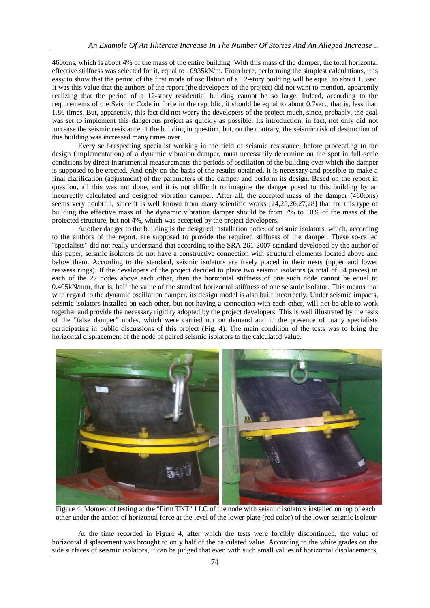460tons, which is about 4% of the mass of the entire building. With this mass of the damper, the total horizontal effective stiffness was selected for it, equal to 10935kN/m. From here, performing the simplest calculations, it is easy to show that the period of the first mode of oscillation of a 12-story building will be equal to about 1.3sec. It was this value that the authors of the report (the developers of the project) did not want to mention, apparently realizing that the period of a 12-story residential building cannot be so large. Indeed, according to the requirements of the Seismic Code in force in the republic, it should be equal to about 0.7sec., that is, less than 1.86 times. But, apparently, this fact did not worry the developers of the project much, since, probably, the goal was set to implement this dangerous project as quickly as possible. Its introduction, in fact, not only did not increase the seismic resistance of the building in question, but, on the contrary, the seismic risk of destruction of this building was increased many times over.

Every self-respecting specialist working in the field of seismic resistance, before proceeding to the design (implementation) of a dynamic vibration damper, must necessarily determine on the spot in full-scale conditions by direct instrumental measurements the periods of oscillation of the building over which the damper is supposed to be erected. And only on the basis of the results obtained, it is necessary and possible to make a final clarification (adjustment) of the parameters of the damper and perform its design. Based on the report in question, all this was not done, and it is not difficult to imagine the danger posed to this building by an incorrectly calculated and designed vibration damper. After all, the accepted mass of the damper (460tons) seems very doubtful, since it is well known from many scientific works [24,25,26,27,28] that for this type of building the effective mass of the dynamic vibration damper should be from 7% to 10% of the mass of the protected structure, but not 4%, which was accepted by the project developers.

Another danger to the building is the designed installation nodes of seismic isolators, which, according to the authors of the report, are supposed to provide the required stiffness of the damper. These so-called "specialists" did not really understand that according to the SRA 261-2007 standard developed by the author of this paper, seismic isolators do not have a constructive connection with structural elements located above and below them. According to the standard, seismic isolators are freely placed in their nests (upper and lower reassess rings). If the developers of the project decided to place two seismic isolators (a total of 54 pieces) in each of the 27 nodes above each other, then the horizontal stiffness of one such node cannot be equal to 0.405kN/mm, that is, half the value of the standard horizontal stiffness of one seismic isolator. This means that with regard to the dynamic oscillation damper, its design model is also built incorrectly. Under seismic impacts, seismic isolators installed on each other, but not having a connection with each other, will not be able to work together and provide the necessary rigidity adopted by the project developers. This is well illustrated by the tests of the "false damper" nodes, which were carried out on demand and in the presence of many specialists participating in public discussions of this project (Fig. 4). The main condition of the tests was to bring the horizontal displacement of the node of paired seismic isolators to the calculated value.



Figure 4. Moment of testing at the "Firm TNT" LLC of the node with seismic isolators installed on top of each other under the action of horizontal force at the level of the lower plate (red color) of the lower seismic isolator

At the time recorded in Figure 4, after which the tests were forcibly discontinued, the value of horizontal displacement was brought to only half of the calculated value. According to the white grades on the side surfaces of seismic isolators, it can be judged that even with such small values of horizontal displacements,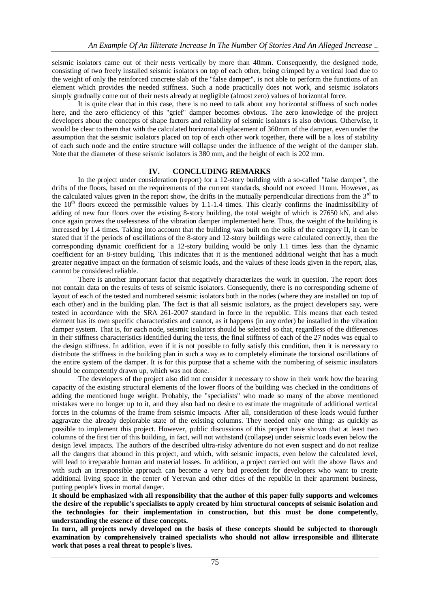seismic isolators came out of their nests vertically by more than 40mm. Consequently, the designed node, consisting of two freely installed seismic isolators on top of each other, being crimped by a vertical load due to the weight of only the reinforced concrete slab of the "false damper", is not able to perform the functions of an element which provides the needed stiffness. Such a node practically does not work, and seismic isolators simply gradually come out of their nests already at negligible (almost zero) values of horizontal force.

It is quite clear that in this case, there is no need to talk about any horizontal stiffness of such nodes here, and the zero efficiency of this "grief" damper becomes obvious. The zero knowledge of the project developers about the concepts of shape factors and reliability of seismic isolators is also obvious. Otherwise, it would be clear to them that with the calculated horizontal displacement of 360mm of the damper, even under the assumption that the seismic isolators placed on top of each other work together, there will be a loss of stability of each such node and the entire structure will collapse under the influence of the weight of the damper slab. Note that the diameter of these seismic isolators is 380 mm, and the height of each is 202 mm.

## **IV. CONCLUDING REMARKS**

In the project under consideration (report) for a 12-story building with a so-called "false damper", the drifts of the floors, based on the requirements of the current standards, should not exceed 11mm. However, as the calculated values given in the report show, the drifts in the mutually perpendicular directions from the  $3<sup>rd</sup>$  to the  $10<sup>th</sup>$  floors exceed the permissible values by 1.1-1.4 times. This clearly confirms the inadmissibility of adding of new four floors over the existing 8-story building, the total weight of which is 27650 kN, and also once again proves the uselessness of the vibration damper implemented here. Thus, the weight of the building is increased by 1.4 times. Taking into account that the building was built on the soils of the category II, it can be stated that if the periods of oscillations of the 8-story and 12-story buildings were calculated correctly, then the corresponding dynamic coefficient for a 12-story building would be only 1.1 times less than the dynamic coefficient for an 8-story building. This indicates that it is the mentioned additional weight that has a much greater negative impact on the formation of seismic loads, and the values of these loads given in the report, alas, cannot be considered reliable.

There is another important factor that negatively characterizes the work in question. The report does not contain data on the results of tests of seismic isolators. Consequently, there is no corresponding scheme of layout of each of the tested and numbered seismic isolators both in the nodes (where they are installed on top of each other) and in the building plan. The fact is that all seismic isolators, as the project developers say, were tested in accordance with the SRA 261-2007 standard in force in the republic. This means that each tested element has its own specific characteristics and cannot, as it happens (in any order) be installed in the vibration damper system. That is, for each node, seismic isolators should be selected so that, regardless of the differences in their stiffness characteristics identified during the tests, the final stiffness of each of the 27 nodes was equal to the design stiffness. In addition, even if it is not possible to fully satisfy this condition, then it is necessary to distribute the stiffness in the building plan in such a way as to completely eliminate the torsional oscillations of the entire system of the damper. It is for this purpose that a scheme with the numbering of seismic insulators should be competently drawn up, which was not done.

The developers of the project also did not consider it necessary to show in their work how the bearing capacity of the existing structural elements of the lower floors of the building was checked in the conditions of adding the mentioned huge weight. Probably, the "specialists" who made so many of the above mentioned mistakes were no longer up to it, and they also had no desire to estimate the magnitude of additional vertical forces in the columns of the frame from seismic impacts. After all, consideration of these loads would further aggravate the already deplorable state of the existing columns. They needed only one thing: as quickly as possible to implement this project. However, public discussions of this project have shown that at least two columns of the first tier of this building, in fact, will not withstand (collapse) under seismic loads even below the design level impacts. The authors of the described ultra-risky adventure do not even suspect and do not realize all the dangers that abound in this project, and which, with seismic impacts, even below the calculated level, will lead to irreparable human and material losses. In addition, a project carried out with the above flaws and with such an irresponsible approach can become a very bad precedent for developers who want to create additional living space in the center of Yerevan and other cities of the republic in their apartment business, putting people's lives in mortal danger.

**It should be emphasized with all responsibility that the author of this paper fully supports and welcomes the desire of the republic's specialists to apply created by him structural concepts of seismic isolation and the technologies for their implementation in construction, but this must be done competently, understanding the essence of these concepts.**

**In turn, all projects newly developed on the basis of these concepts should be subjected to thorough examination by comprehensively trained specialists who should not allow irresponsible and illiterate work that poses a real threat to people's lives.**